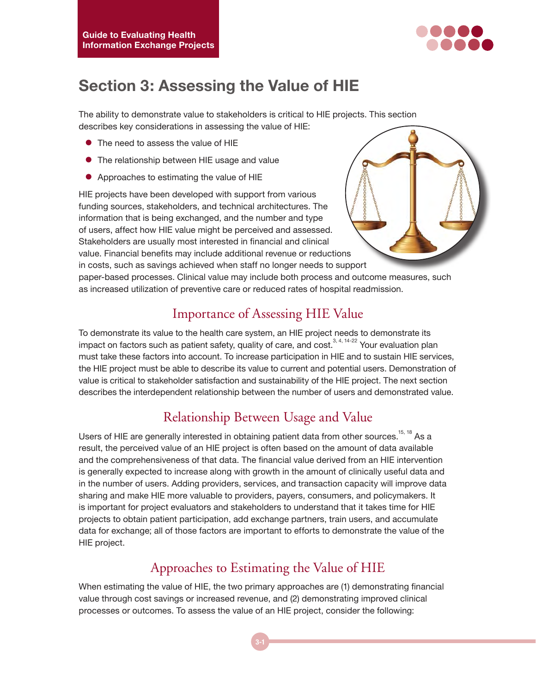

# **Section 3: Assessing the Value of HIE**

The ability to demonstrate value to stakeholders is critical to HIE projects. This section describes key considerations in assessing the value of HIE:

- $\bullet$  The need to assess the value of HIE
- The relationship between HIE usage and value
- Approaches to estimating the value of HIE

HIE projects have been developed with support from various funding sources, stakeholders, and technical architectures. The information that is being exchanged, and the number and type of users, affect how HIE value might be perceived and assessed. Stakeholders are usually most interested in financial and clinical value. Financial benefits may include additional revenue or reductions



paper-based processes. Clinical value may include both process and outcome measures, such as increased utilization of preventive care or reduced rates of hospital readmission.

## Importance of Assessing HIE Value

To demonstrate its value to the health care system, an HIE project needs to demonstrate its impact on factors such as patient safety, quality of care, and cost.<sup>3, 4, 14-22</sup> Your evaluation plan must take these factors into account. To increase participation in HIE and to sustain HIE services, the HIE project must be able to describe its value to current and potential users. Demonstration of value is critical to stakeholder satisfaction and sustainability of the HIE project. The next section describes the interdependent relationship between the number of users and demonstrated value.

### Relationship Between Usage and Value

Users of HIE are generally interested in obtaining patient data from other sources.<sup>15, 18</sup> As a result, the perceived value of an HIE project is often based on the amount of data available and the comprehensiveness of that data. The financial value derived from an HIE intervention is generally expected to increase along with growth in the amount of clinically useful data and in the number of users. Adding providers, services, and transaction capacity will improve data sharing and make HIE more valuable to providers, payers, consumers, and policymakers. It is important for project evaluators and stakeholders to understand that it takes time for HIE projects to obtain patient participation, add exchange partners, train users, and accumulate data for exchange; all of those factors are important to efforts to demonstrate the value of the HIE project.

### Approaches to Estimating the Value of HIE

When estimating the value of HIE, the two primary approaches are (1) demonstrating financial value through cost savings or increased revenue, and (2) demonstrating improved clinical processes or outcomes. To assess the value of an HIE project, consider the following: